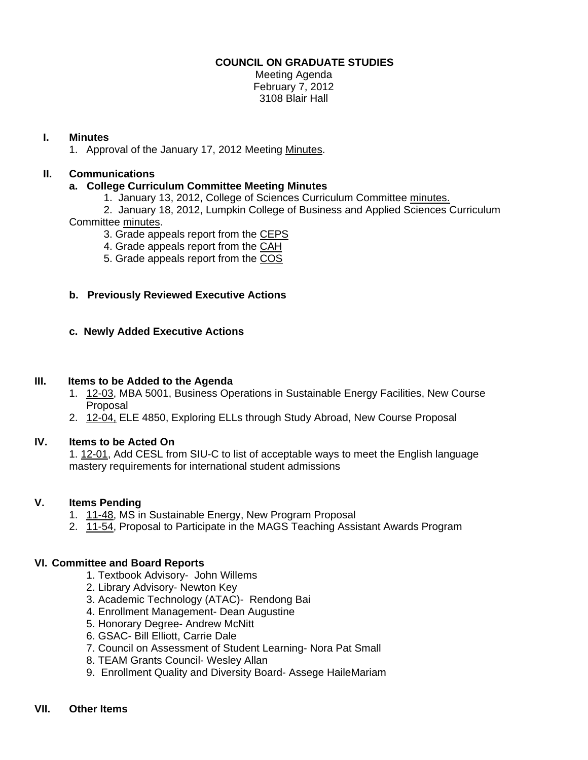## **COUNCIL ON GRADUATE STUDIES**

Meeting Agenda February 7, 2012 3108 Blair Hall

## **I. Minutes**

1. Approval of the January 17, 2012 Meetin[g Minutes.](http://castle.eiu.edu/eiucgs/currentminutes/Minutes1-17-12.pdf) 

# **II. Communications**

## **a. College Curriculum Committee Meeting Minutes**

1. January 13, 2012, College of Sciences Curriculum Committe[e minutes.](http://castle.eiu.edu/~eiucgs/currentagendaitems/COSMin1-13-12.pdf) 

 2. January 18, 2012, Lumpkin College of Business and Applied Sciences Curriculum Committe[e minutes.](http://castle.eiu.edu/~eiucgs/currentagendaitems/LCBASMin1-18-12.pdf) 

3. Grade appeals report from th[e CEPS](http://castle.eiu.edu/~eiucgs/currentagendaitems/CEPS-gradeappeals-fa11.pdf) 

4. Grade appeals report from th[e CAH](http://castle.eiu.edu/~eiucgs/currentagendaitems/CAH-gradeappeals-fa11.pdf) 

5. Grade appeals report from the [COS](http://castle.eiu.edu/~eiucgs/currentagendaitems/COS-gradeappeals-fa11.pdf) 

## **b. Previously Reviewed Executive Actions**

## **c. Newly Added Executive Actions**

### **III. Items to be Added to the Agenda**

- 1. [12-03,](http://castle.eiu.edu/~eiucgs/currentagendaitems/agenda12-03.pdf) MBA 5001, Business Operations in Sustainable Energy Facilities, New Course Proposal
- 2. [12-04, EL](http://castle.eiu.edu/~eiucgs/currentagendaitems/agenda12-04.pdf)E 4850, Exploring ELLs through Study Abroad, New Course Proposal

#### **IV. Items to be Acted On**

1[. 12-01, A](http://castle.eiu.edu/~eiucgs/currentagendaitems/agenda12-01.pdf)dd CESL from SIU-C to list of acceptable ways to meet the English language mastery requirements for international student admissions

#### **V. Items Pending**

- 1. [11-48, M](http://castle.eiu.edu/~eiucgs/currentagendaitems/agenda11-48.pdf)S in Sustainable Energy, New Program Proposal
- 2. [11-54, P](http://castle.eiu.edu/~eiucgs/currentagendaitems/agenda11-54.pdf)roposal to Participate in the MAGS Teaching Assistant Awards Program

#### **VI. Committee and Board Reports**

- 1. Textbook Advisory- John Willems
- 2. Library Advisory- Newton Key
- 3. Academic Technology (ATAC)- Rendong Bai
- 4. Enrollment Management- Dean Augustine
- 5. Honorary Degree- Andrew McNitt
- 6. GSAC- Bill Elliott, Carrie Dale
- 7. Council on Assessment of Student Learning- Nora Pat Small
- 8. TEAM Grants Council- Wesley Allan
- 9. Enrollment Quality and Diversity Board- Assege HaileMariam

# **VII. Other Items**